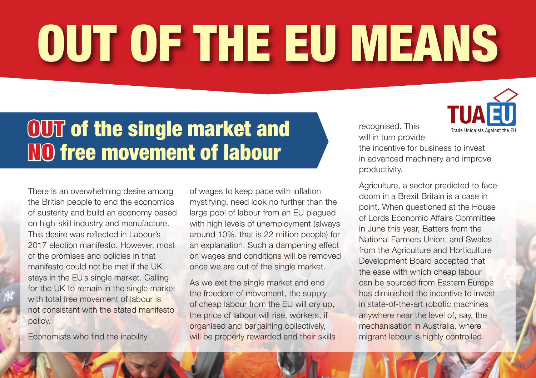# **T OF THE EU MEA** OUT OF THE EU MEANS

### OUT of the single market and NO free movement of labour

There is an overwhelming desire among the British people to end the economics of austerity and build an economy based on high-skill industry and manufacture. This desire was reflected in Labour's 2017 election manifesto. However, most of the promises and policies in that manifesto could not be met if the UK stays in the EU's single market. Calling for the UK to remain in the single market with total free movement of labour is not consistent with the stated manifesto policy.

Economists who find the inability

of wages to keep pace with inflation mystifying, need look no further than the large pool of labour from an EU plagued with high levels of unemployment (always around 10%, that is 22 million people) for an explanation. Such a dampening effect on wages and conditions will be removed once we are out of the single market.

As we exit the single market and end the freedom of movement, the supply of cheap labour from the EU will dry up, the price of labour will rise, workers, if organised and bargaining collectively, will be properly rewarded and their skills recognised. This will in turn provide



the incentive for business to invest in advanced machinery and improve productivity.

Agriculture, a sector predicted to face doom in a Brexit Britain is a case in point. When questioned at the House of Lords Economic Affairs Committee in June this year, Batters from the National Farmers Union, and Swales from the Agriculture and Horticulture Development Board accepted that the ease with which cheap labour can be sourced from Eastern Europe has diminished the incentive to invest in state-of-the-art robotic machines anywhere near the level of, say, the mechanisation in Australia, where migrant labour is highly controlled.